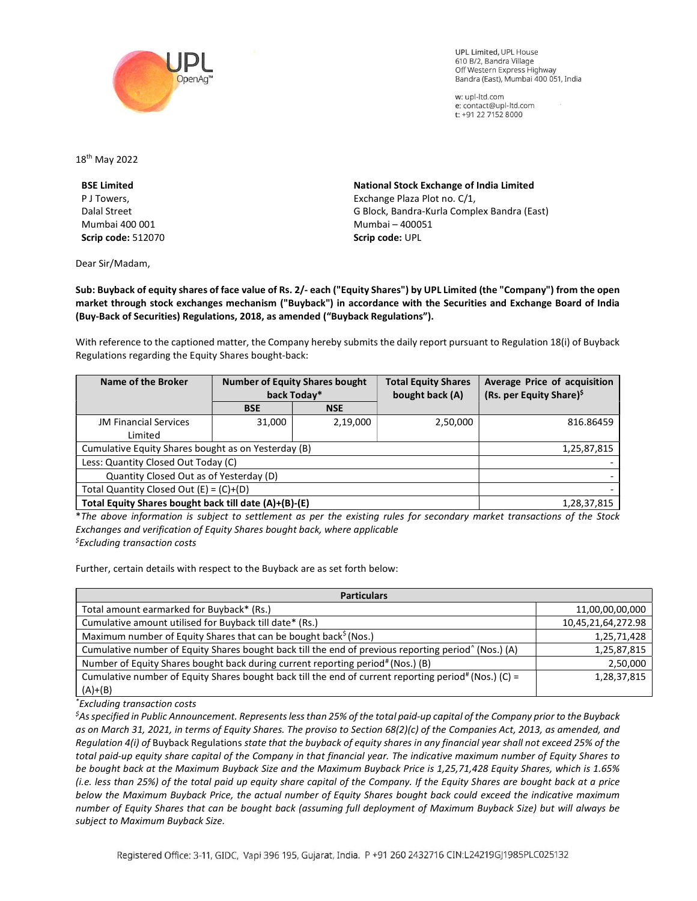

**UPL Limited. UPL House** 610 B/2, Bandra Village Off Western Express Highway Bandra (East), Mumbai 400 051, India

w: upl-ltd.com e: contact@upl-ltd.com t: +91 22 7152 8000

18th May 2022

BSE Limited P J Towers, Dalal Street Mumbai 400 001 Scrip code: 512070

Dear Sir/Madam,

National Stock Exchange of India Limited Exchange Plaza Plot no. C/1, G Block, Bandra-Kurla Complex Bandra (East) Mumbai – 400051 Scrip code: UPL

Sub: Buyback of equity shares of face value of Rs. 2/- each ("Equity Shares") by UPL Limited (the "Company") from the open market through stock exchanges mechanism ("Buyback") in accordance with the Securities and Exchange Board of India (Buy-Back of Securities) Regulations, 2018, as amended ("Buyback Regulations").

With reference to the captioned matter, the Company hereby submits the daily report pursuant to Regulation 18(i) of Buyback Regulations regarding the Equity Shares bought-back:

| Name of the Broker                                    | <b>Number of Equity Shares bought</b><br>back Today* |            | <b>Total Equity Shares</b><br>bought back (A) | Average Price of acquisition<br>(Rs. per Equity Share) <sup>\$</sup> |
|-------------------------------------------------------|------------------------------------------------------|------------|-----------------------------------------------|----------------------------------------------------------------------|
|                                                       | <b>BSE</b>                                           | <b>NSE</b> |                                               |                                                                      |
| <b>JM Financial Services</b>                          | 31,000                                               | 2,19,000   | 2,50,000                                      | 816.86459                                                            |
| Limited                                               |                                                      |            |                                               |                                                                      |
| Cumulative Equity Shares bought as on Yesterday (B)   |                                                      |            |                                               | 1,25,87,815                                                          |
| Less: Quantity Closed Out Today (C)                   |                                                      |            |                                               |                                                                      |
| Quantity Closed Out as of Yesterday (D)               |                                                      |            |                                               |                                                                      |
| Total Quantity Closed Out $(E) = (C)+(D)$             |                                                      |            |                                               |                                                                      |
| Total Equity Shares bought back till date (A)+(B)-(E) |                                                      |            |                                               | 1,28,37,815                                                          |

\*The above information is subject to settlement as per the existing rules for secondary market transactions of the Stock Exchanges and verification of Equity Shares bought back, where applicable  $<sup>5</sup>$ Excluding transaction costs</sup>

Further, certain details with respect to the Buyback are as set forth below:

| <b>Particulars</b>                                                                                               |                    |  |  |  |
|------------------------------------------------------------------------------------------------------------------|--------------------|--|--|--|
| Total amount earmarked for Buyback* (Rs.)                                                                        | 11,00,00,00,000    |  |  |  |
| Cumulative amount utilised for Buyback till date* (Rs.)                                                          | 10,45,21,64,272.98 |  |  |  |
| Maximum number of Equity Shares that can be bought back <sup>\$</sup> (Nos.)                                     | 1,25,71,428        |  |  |  |
| Cumulative number of Equity Shares bought back till the end of previous reporting period <sup>^</sup> (Nos.) (A) | 1,25,87,815        |  |  |  |
| Number of Equity Shares bought back during current reporting period# (Nos.) (B)                                  | 2,50,000           |  |  |  |
| Cumulative number of Equity Shares bought back till the end of current reporting period# (Nos.) (C) =            | 1,28,37,815        |  |  |  |
| $(A)+(B)$                                                                                                        |                    |  |  |  |

\*Excluding transaction costs

 ${}^5$ As specified in Public Announcement. Represents less than 25% of the total paid-up capital of the Company prior to the Buyback as on March 31, 2021, in terms of Equity Shares. The proviso to Section 68(2)(c) of the Companies Act, 2013, as amended, and Regulation 4(i) of Buyback Regulations state that the buyback of equity shares in any financial year shall not exceed 25% of the total paid-up equity share capital of the Company in that financial year. The indicative maximum number of Equity Shares to be bought back at the Maximum Buyback Size and the Maximum Buyback Price is 1,25,71,428 Equity Shares, which is 1.65% (i.e. less than 25%) of the total paid up equity share capital of the Company. If the Equity Shares are bought back at a price below the Maximum Buyback Price, the actual number of Equity Shares bought back could exceed the indicative maximum number of Equity Shares that can be bought back (assuming full deployment of Maximum Buyback Size) but will always be subject to Maximum Buyback Size.